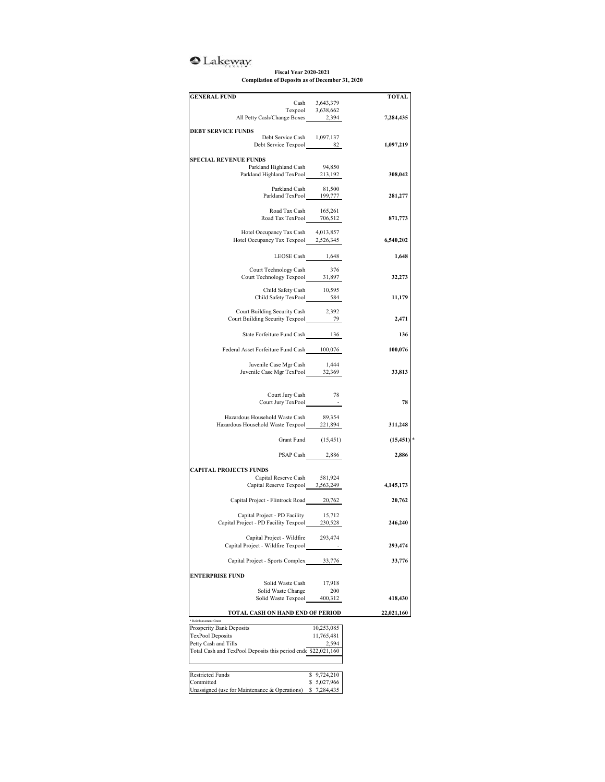## <sup>o</sup>Lakeway

## **Fiscal Year 2020-2021 Compilation of Deposits as of December 31, 2020**

| <b>GENERAL FUND</b>                                                |                             | TOTAL      |
|--------------------------------------------------------------------|-----------------------------|------------|
| Cash                                                               | 3,643,379                   |            |
|                                                                    | Texpool 3,638,662           |            |
| All Petty Cash/Change Boxes 2,394                                  |                             | 7,284,435  |
|                                                                    |                             |            |
| <b>DEBT SERVICE FUNDS</b><br>Debt Service Cash 1,097,137           |                             |            |
| Debt Service Texpool 82                                            |                             | 1,097,219  |
|                                                                    |                             |            |
| <b>SPECIAL REVENUE FUNDS</b>                                       |                             |            |
| Parkland Highland Cash                                             | 94,850                      |            |
| Parkland Highland TexPool 213,192                                  |                             | 308,042    |
|                                                                    |                             |            |
| Parkland Cash<br>Parkland TexPool 199,777                          | 81,500                      | 281,277    |
|                                                                    |                             |            |
|                                                                    |                             |            |
| Road Tax Cash 165,261<br>Road Tax TexPool 706,512                  | 706,512                     | 871,773    |
|                                                                    |                             |            |
| Hotel Occupancy Tax Cash                                           | 4,013,857                   |            |
| Hotel Occupancy Tax Texpool 2,526,345                              |                             | 6,540,202  |
|                                                                    |                             |            |
|                                                                    | LEOSE Cash 1,648            | 1,648      |
| Court Technology Cash                                              | 376                         |            |
| Court Technology Texpool 31,897                                    |                             | 32,273     |
|                                                                    |                             |            |
| Child Safety Cash 10,595<br>Child Safety TexPool 684               |                             |            |
|                                                                    |                             | 11,179     |
|                                                                    |                             |            |
| Court Building Security Cash<br>Court Building Security Texpool 79 | 2,392                       | 2,471      |
|                                                                    |                             |            |
| State Forfeiture Fund Cash 136                                     |                             | 136        |
|                                                                    |                             |            |
| Federal Asset Forfeiture Fund Cash 100,076                         |                             | 100,076    |
|                                                                    |                             |            |
| Juvenile Case Mgr Cash                                             | 1,444                       |            |
| Juvenile Case Mgr Cash 1,444<br>Juvenile Case Mgr TexPool 32,369   |                             | 33,813     |
|                                                                    |                             |            |
|                                                                    |                             |            |
| Court Jury Cash                                                    | 78                          | 78         |
| Court Jury TexPool                                                 | $\sim$ $-$                  |            |
| Hazardous Household Waste Cash                                     | 89,354                      |            |
| Hazardous Household Waste Texpool 221,894                          |                             | 311,248    |
|                                                                    |                             |            |
|                                                                    | Grant Fund (15,451)         | (15, 451)  |
|                                                                    |                             |            |
|                                                                    | PSAP Cash 2,886             | 2,886      |
|                                                                    |                             |            |
| <b>CAPITAL PROJECTS FUNDS</b>                                      |                             |            |
| Capital Reserve Cash 581,924<br>Capital Reserve Texpool 3,563,249  |                             | 4,145,173  |
|                                                                    |                             |            |
| Capital Project - Flintrock Road 20,762                            |                             | 20,762     |
|                                                                    |                             |            |
| Capital Project - PD Facility                                      | 15,712                      |            |
| Capital Project - PD Facility Texpool 230,528                      |                             | 246,240    |
|                                                                    |                             |            |
| Capital Project - Wildfire                                         | 293,474                     |            |
| Capital Project - Wildfire Texpool                                 |                             | 293,474    |
|                                                                    |                             |            |
| Capital Project - Sports Complex                                   | 33,776                      | 33,776     |
| <b>ENTERPRISE FUND</b>                                             |                             |            |
| Solid Waste Cash                                                   | 17,918                      |            |
| Solid Waste Change                                                 | 200                         |            |
| Solid Waste Texpool                                                | 400,312                     | 418,430    |
|                                                                    |                             |            |
| TOTAL CASH ON HAND END OF PERIOD                                   |                             | 22,021,160 |
| * Reimbursement Grant                                              |                             |            |
| Prosperity Bank Deposits                                           | 10,253,085                  |            |
| <b>TexPool Deposits</b>                                            | 11,765,481                  |            |
| Petty Cash and Tills                                               | 2,594                       |            |
|                                                                    |                             |            |
| Total Cash and TexPool Deposits this period end \$22,021,160       |                             |            |
|                                                                    |                             |            |
| <b>Restricted Funds</b>                                            |                             |            |
| Committed                                                          | \$9,724,210<br>\$ 5,027,966 |            |